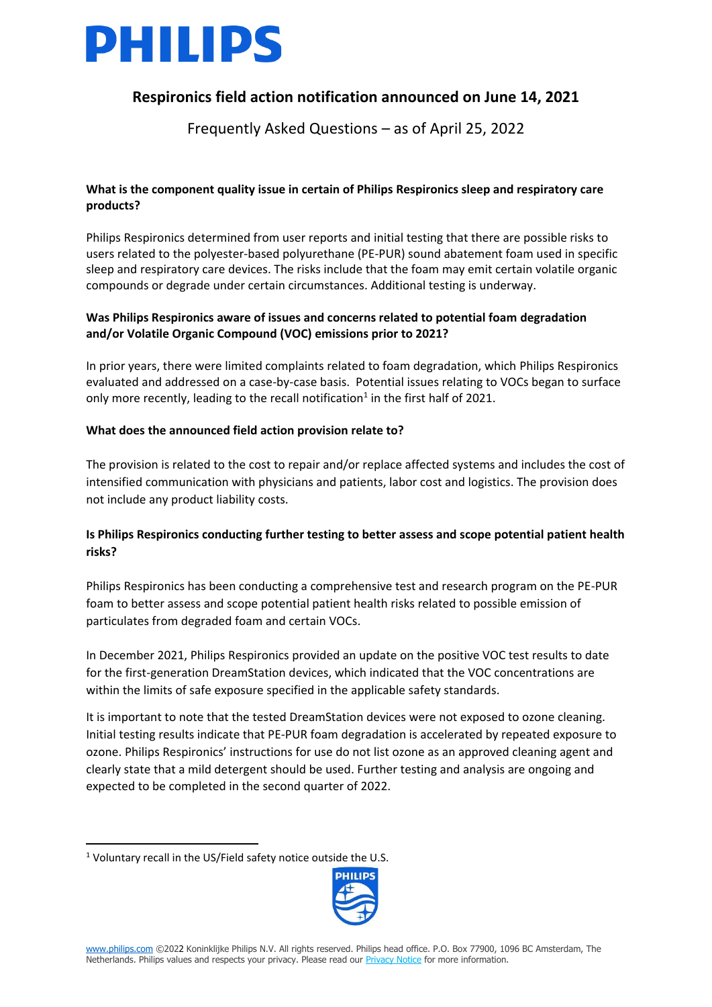

## **Respironics field action notification announced on June 14, 2021**

Frequently Asked Questions – as of April 25, 2022

## **What is the component quality issue in certain of Philips Respironics sleep and respiratory care products?**

Philips Respironics determined from user reports and initial testing that there are possible risks to users related to the polyester-based polyurethane (PE-PUR) sound abatement foam used in specific sleep and respiratory care devices. The risks include that the foam may emit certain volatile organic compounds or degrade under certain circumstances. Additional testing is underway.

## **Was Philips Respironics aware of issues and concerns related to potential foam degradation and/or Volatile Organic Compound (VOC) emissions prior to 2021?**

In prior years, there were limited complaints related to foam degradation, which Philips Respironics evaluated and addressed on a case-by-case basis. Potential issues relating to VOCs began to surface only more recently, leading to the recall notification<sup>1</sup> in the first half of 2021.

### **What does the announced field action provision relate to?**

The provision is related to the cost to repair and/or replace affected systems and includes the cost of intensified communication with physicians and patients, labor cost and logistics. The provision does not include any product liability costs.

## **Is Philips Respironics conducting further testing to better assess and scope potential patient health risks?**

Philips Respironics has been conducting a comprehensive test and research program on the PE-PUR foam to better assess and scope potential patient health risks related to possible emission of particulates from degraded foam and certain VOCs.

In December 2021, Philips Respironics provided an update on the positive VOC test results to date for the first-generation DreamStation devices, which indicated that the VOC concentrations are within the limits of safe exposure specified in the applicable safety standards.

It is important to note that the tested DreamStation devices were not exposed to ozone cleaning. Initial testing results indicate that PE-PUR foam degradation is accelerated by repeated exposure to ozone. Philips Respironics' instructions for use do not list ozone as an approved cleaning agent and clearly state that a mild detergent should be used. Further testing and analysis are ongoing and expected to be completed in the second quarter of 2022.

<sup>1</sup> Voluntary recall in the US/Field safety notice outside the U.S.

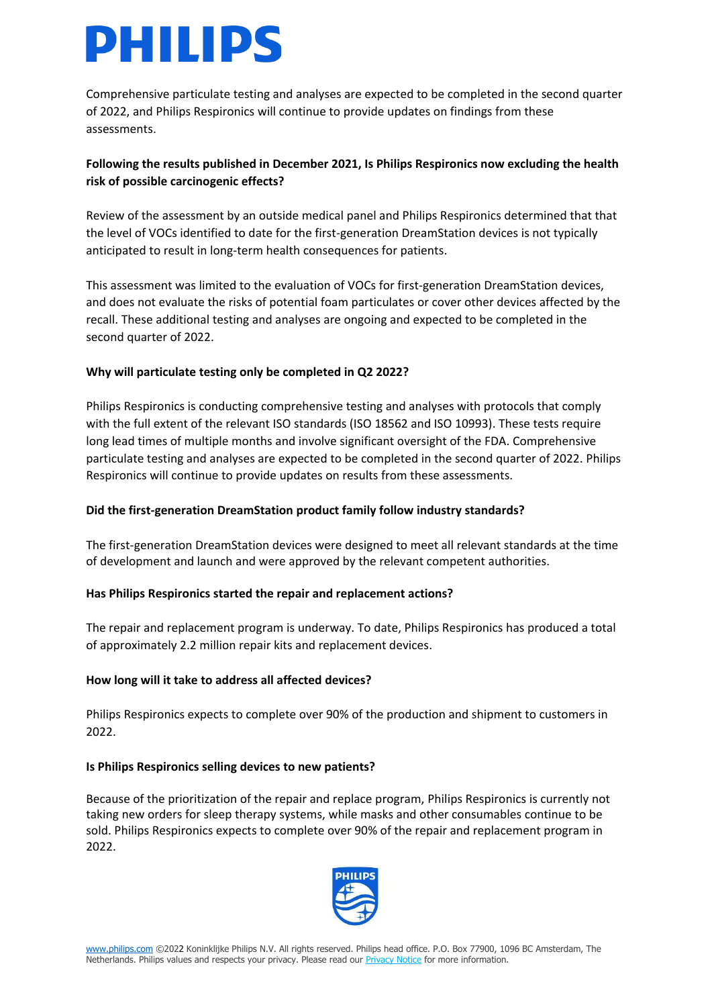# PHILIPS

Comprehensive particulate testing and analyses are expected to be completed in the second quarter of 2022, and Philips Respironics will continue to provide updates on findings from these assessments.

## **Following the results published in December 2021, Is Philips Respironics now excluding the health risk of possible carcinogenic effects?**

Review of the assessment by an outside medical panel and Philips Respironics determined that that the level of VOCs identified to date for the first-generation DreamStation devices is not typically anticipated to result in long-term health consequences for patients.

This assessment was limited to the evaluation of VOCs for first-generation DreamStation devices, and does not evaluate the risks of potential foam particulates or cover other devices affected by the recall. These additional testing and analyses are ongoing and expected to be completed in the second quarter of 2022.

## **Why will particulate testing only be completed in Q2 2022?**

Philips Respironics is conducting comprehensive testing and analyses with protocols that comply with the full extent of the relevant ISO standards (ISO 18562 and ISO 10993). These tests require long lead times of multiple months and involve significant oversight of the FDA. Comprehensive particulate testing and analyses are expected to be completed in the second quarter of 2022. Philips Respironics will continue to provide updates on results from these assessments.

## **Did the first-generation DreamStation product family follow industry standards?**

The first-generation DreamStation devices were designed to meet all relevant standards at the time of development and launch and were approved by the relevant competent authorities.

## **Has Philips Respironics started the repair and replacement actions?**

The repair and replacement program is underway. To date, Philips Respironics has produced a total of approximately 2.2 million repair kits and replacement devices.

## **How long will it take to address all affected devices?**

Philips Respironics expects to complete over 90% of the production and shipment to customers in 2022.

#### **Is Philips Respironics selling devices to new patients?**

Because of the prioritization of the repair and replace program, Philips Respironics is currently not taking new orders for sleep therapy systems, while masks and other consumables continue to be sold. Philips Respironics expects to complete over 90% of the repair and replacement program in 2022.

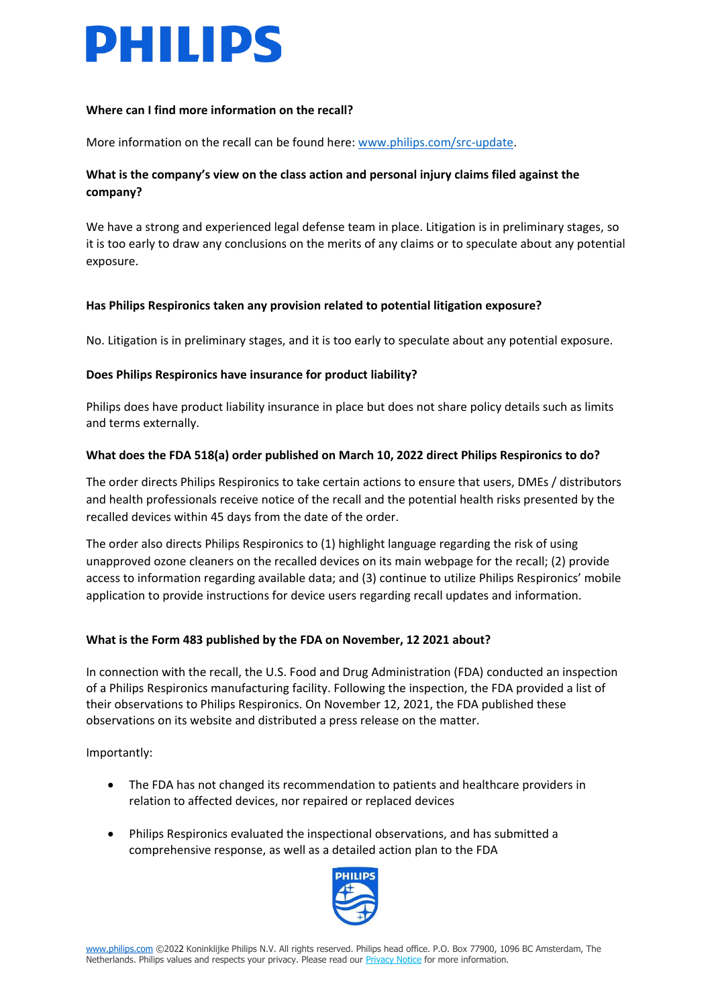

#### **Where can I find more information on the recall?**

More information on the recall can be found here: [www.philips.com/src-update.](http://www.philips.com/src-update)

## **What is the company's view on the class action and personal injury claims filed against the company?**

We have a strong and experienced legal defense team in place. Litigation is in preliminary stages, so it is too early to draw any conclusions on the merits of any claims or to speculate about any potential exposure.

#### **Has Philips Respironics taken any provision related to potential litigation exposure?**

No. Litigation is in preliminary stages, and it is too early to speculate about any potential exposure.

#### **Does Philips Respironics have insurance for product liability?**

Philips does have product liability insurance in place but does not share policy details such as limits and terms externally.

#### **What does the FDA 518(a) order published on March 10, 2022 direct Philips Respironics to do?**

The order directs Philips Respironics to take certain actions to ensure that users, DMEs / distributors and health professionals receive notice of the recall and the potential health risks presented by the recalled devices within 45 days from the date of the order.

The order also directs Philips Respironics to (1) highlight language regarding the risk of using unapproved ozone cleaners on the recalled devices on its main webpage for the recall; (2) provide access to information regarding available data; and (3) continue to utilize Philips Respironics' mobile application to provide instructions for device users regarding recall updates and information.

#### **What is the Form 483 published by the FDA on November, 12 2021 about?**

In connection with the recall, the U.S. Food and Drug Administration (FDA) conducted an inspection of a Philips Respironics manufacturing facility. Following the inspection, the FDA provided a list of their observations to Philips Respironics. On November 12, 2021, the FDA published these observations on its website and distributed a press release on the matter.

Importantly:

- The FDA has not changed its recommendation to patients and healthcare providers in relation to affected devices, nor repaired or replaced devices
- Philips Respironics evaluated the inspectional observations, and has submitted a comprehensive response, as well as a detailed action plan to the FDA